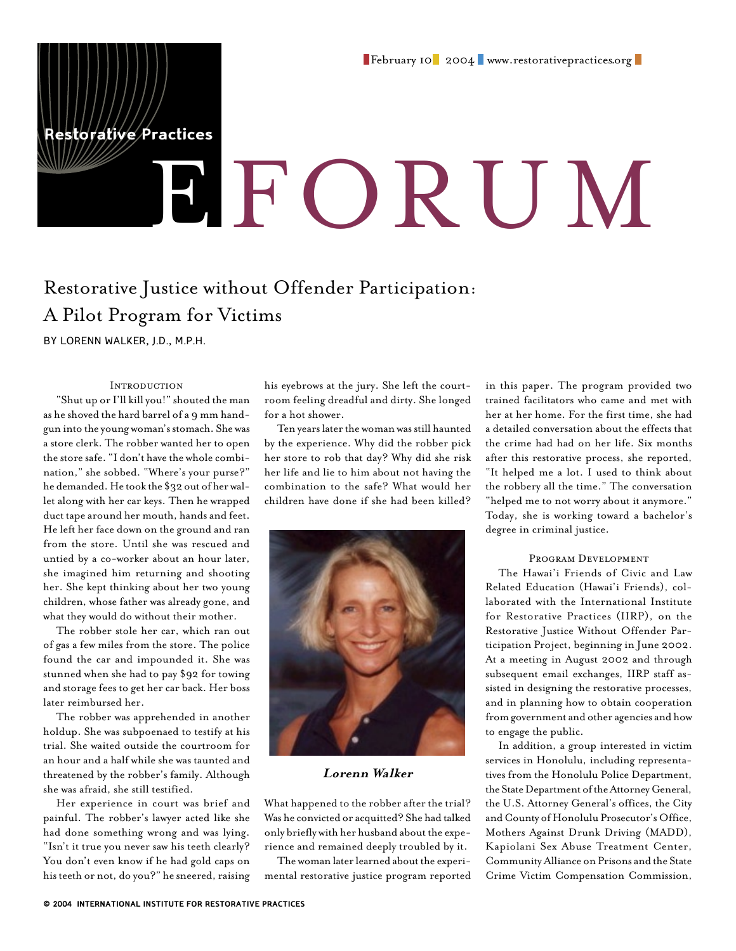estorative Practices

# E FORUM

# Restorative Justice without Offender Participation: A Pilot Program for Victims

BY LORENN WALKER, J.D., M.P.H.

### **INTRODUCTION**

"Shut up or I'll kill you!" shouted the man as he shoved the hard barrel of a 9 mm handgun into the young woman's stomach. She was a store clerk. The robber wanted her to open the store safe. "I don't have the whole combination," she sobbed. "Where's your purse?" he demanded. He took the \$32 out of her wallet along with her car keys. Then he wrapped duct tape around her mouth, hands and feet. He left her face down on the ground and ran from the store. Until she was rescued and untied by a co-worker about an hour later, she imagined him returning and shooting her. She kept thinking about her two young children, whose father was already gone, and what they would do without their mother.

The robber stole her car, which ran out of gas a few miles from the store. The police found the car and impounded it. She was stunned when she had to pay \$92 for towing and storage fees to get her car back. Her boss later reimbursed her.

The robber was apprehended in another holdup. She was subpoenaed to testify at his trial. She waited outside the courtroom for an hour and a half while she was taunted and threatened by the robber's family. Although she was afraid, she still testified.

Her experience in court was brief and painful. The robber's lawyer acted like she had done something wrong and was lying. "Isn't it true you never saw his teeth clearly? You don't even know if he had gold caps on his teeth or not, do you?" he sneered, raising

his eyebrows at the jury. She left the courtroom feeling dreadful and dirty. She longed for a hot shower.

Ten years later the woman was still haunted by the experience. Why did the robber pick her store to rob that day? Why did she risk her life and lie to him about not having the combination to the safe? What would her children have done if she had been killed?



# **Lorenn Walker**

What happened to the robber after the trial? Was he convicted or acquitted? She had talked only briefly with her husband about the experience and remained deeply troubled by it.

The woman later learned about the experimental restorative justice program reported in this paper. The program provided two trained facilitators who came and met with her at her home. For the first time, she had a detailed conversation about the effects that the crime had had on her life. Six months after this restorative process, she reported, "It helped me a lot. I used to think about the robbery all the time." The conversation "helped me to not worry about it anymore." Today, she is working toward a bachelor's degree in criminal justice.

#### Program Development

The Hawai'i Friends of Civic and Law Related Education (Hawai'i Friends), collaborated with the International Institute for Restorative Practices (IIRP), on the Restorative Justice Without Offender Participation Project, beginning in June 2002. At a meeting in August 2002 and through subsequent email exchanges, IIRP staff assisted in designing the restorative processes, and in planning how to obtain cooperation from government and other agencies and how to engage the public.

In addition, a group interested in victim services in Honolulu, including representatives from the Honolulu Police Department, the State Department of the Attorney General, the U.S. Attorney General's offices, the City and County of Honolulu Prosecutor's Office, Mothers Against Drunk Driving (MADD), Kapiolani Sex Abuse Treatment Center, Community Alliance on Prisons and the State Crime Victim Compensation Commission,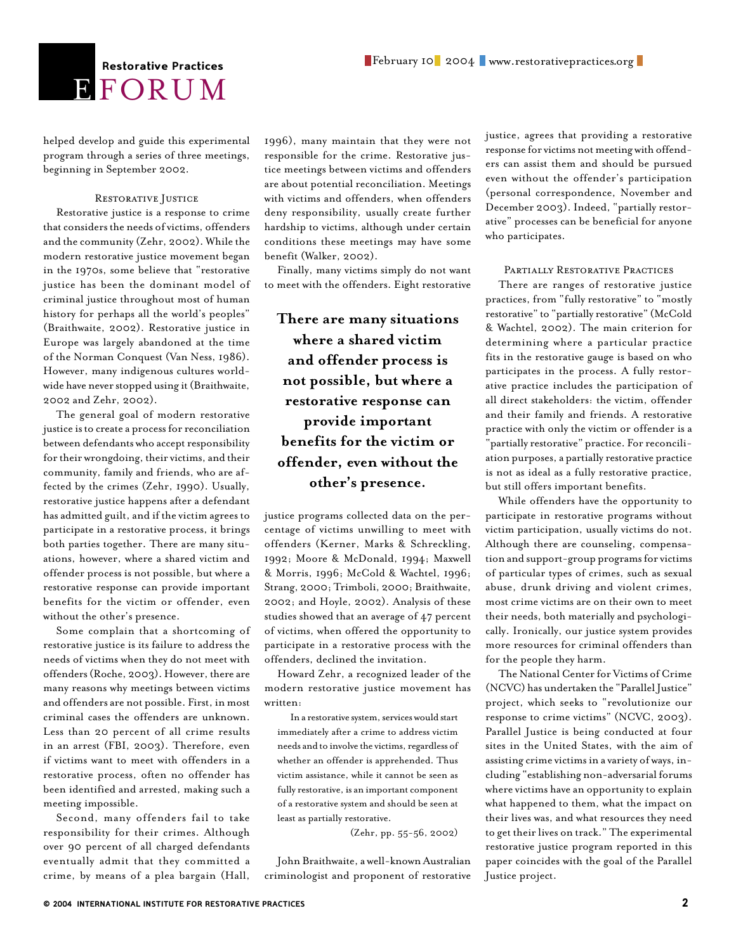# **E** FORUM

helped develop and guide this experimental program through a series of three meetings, beginning in September 2002.

#### RESTORATIVE JUSTICE

Restorative justice is a response to crime that considers the needs of victims, offenders and the community (Zehr, 2002). While the modern restorative justice movement began in the 1970s, some believe that "restorative justice has been the dominant model of criminal justice throughout most of human history for perhaps all the world's peoples" (Braithwaite, 2002). Restorative justice in Europe was largely abandoned at the time of the Norman Conquest (Van Ness, 1986). However, many indigenous cultures worldwide have never stopped using it (Braithwaite, 2002 and Zehr, 2002).

The general goal of modern restorative justice is to create a process for reconciliation between defendants who accept responsibility for their wrongdoing, their victims, and their community, family and friends, who are affected by the crimes (Zehr, 1990). Usually, restorative justice happens after a defendant has admitted guilt, and if the victim agrees to participate in a restorative process, it brings both parties together. There are many situations, however, where a shared victim and offender process is not possible, but where a restorative response can provide important benefits for the victim or offender, even without the other's presence.

Some complain that a shortcoming of restorative justice is its failure to address the needs of victims when they do not meet with offenders (Roche, 2003). However, there are many reasons why meetings between victims and offenders are not possible. First, in most criminal cases the offenders are unknown. Less than 20 percent of all crime results in an arrest (FBI, 2003). Therefore, even if victims want to meet with offenders in a restorative process, often no offender has been identified and arrested, making such a meeting impossible.

Second, many offenders fail to take responsibility for their crimes. Although over 90 percent of all charged defendants eventually admit that they committed a crime, by means of a plea bargain (Hall,

1996), many maintain that they were not responsible for the crime. Restorative justice meetings between victims and offenders are about potential reconciliation. Meetings with victims and offenders, when offenders deny responsibility, usually create further hardship to victims, although under certain conditions these meetings may have some benefit (Walker, 2002).

Finally, many victims simply do not want to meet with the offenders. Eight restorative

**There are many situations where a shared victim and offender process is not possible, but where a restorative response can provide important benefits for the victim or offender, even without the other's presence.** 

justice programs collected data on the percentage of victims unwilling to meet with offenders (Kerner, Marks & Schreckling, 1992; Moore & McDonald, 1994; Maxwell & Morris, 1996; McCold & Wachtel, 1996; Strang, 2000; Trimboli, 2000; Braithwaite, 2002; and Hoyle, 2002). Analysis of these studies showed that an average of 47 percent of victims, when offered the opportunity to participate in a restorative process with the offenders, declined the invitation.

Howard Zehr, a recognized leader of the modern restorative justice movement has written:

In a restorative system, services would start immediately after a crime to address victim needs and to involve the victims, regardless of whether an offender is apprehended. Thus victim assistance, while it cannot be seen as fully restorative, is an important component of a restorative system and should be seen at least as partially restorative.

(Zehr, pp. 55-56, 2002)

John Braithwaite, a well-known Australian criminologist and proponent of restorative justice, agrees that providing a restorative response for victims not meeting with offenders can assist them and should be pursued even without the offender's participation (personal correspondence, November and December 2003). Indeed, "partially restorative" processes can be beneficial for anyone who participates.

#### PARTIALLY RESTORATIVE PRACTICES

There are ranges of restorative justice practices, from "fully restorative" to "mostly restorative" to "partially restorative" (McCold & Wachtel, 2002). The main criterion for determining where a particular practice fits in the restorative gauge is based on who participates in the process. A fully restorative practice includes the participation of all direct stakeholders: the victim, offender and their family and friends. A restorative practice with only the victim or offender is a "partially restorative" practice. For reconciliation purposes, a partially restorative practice is not as ideal as a fully restorative practice, but still offers important benefits.

While offenders have the opportunity to participate in restorative programs without victim participation, usually victims do not. Although there are counseling, compensation and support-group programs for victims of particular types of crimes, such as sexual abuse, drunk driving and violent crimes, most crime victims are on their own to meet their needs, both materially and psychologically. Ironically, our justice system provides more resources for criminal offenders than for the people they harm.

The National Center for Victims of Crime (NCVC) has undertaken the "Parallel Justice" project, which seeks to "revolutionize our response to crime victims" (NCVC, 2003). Parallel Justice is being conducted at four sites in the United States, with the aim of assisting crime victims in a variety of ways, including "establishing non-adversarial forums where victims have an opportunity to explain what happened to them, what the impact on their lives was, and what resources they need to get their lives on track." The experimental restorative justice program reported in this paper coincides with the goal of the Parallel Justice project.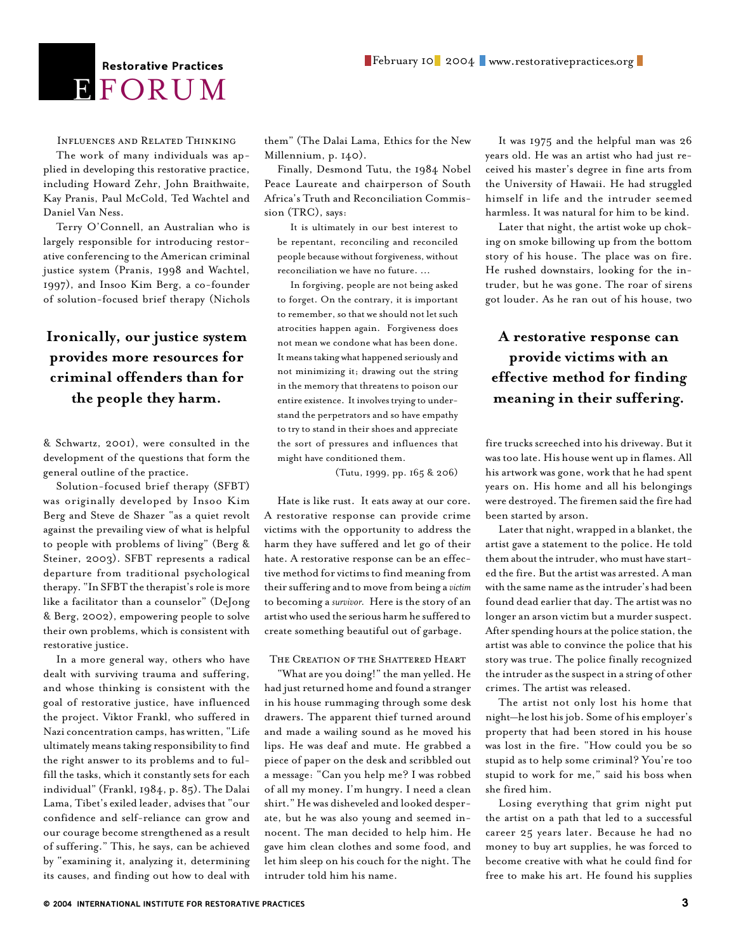# BFORUM

Influences and Related Thinking

The work of many individuals was applied in developing this restorative practice, including Howard Zehr, John Braithwaite, Kay Pranis, Paul McCold, Ted Wachtel and Daniel Van Ness.

Terry O'Connell, an Australian who is largely responsible for introducing restorative conferencing to the American criminal justice system (Pranis, 1998 and Wachtel, 1997), and Insoo Kim Berg, a co-founder of solution-focused brief therapy (Nichols

# **Ironically, our justice system provides more resources for criminal offenders than for the people they harm.**

& Schwartz, 2001), were consulted in the development of the questions that form the general outline of the practice.

Solution-focused brief therapy (SFBT) was originally developed by Insoo Kim Berg and Steve de Shazer "as a quiet revolt against the prevailing view of what is helpful to people with problems of living" (Berg & Steiner, 2003). SFBT represents a radical departure from traditional psychological therapy. "In SFBT the therapist's role is more like a facilitator than a counselor" (DeJong & Berg, 2002), empowering people to solve their own problems, which is consistent with restorative justice.

In a more general way, others who have dealt with surviving trauma and suffering, and whose thinking is consistent with the goal of restorative justice, have influenced the project. Viktor Frankl, who suffered in Nazi concentration camps, has written, "Life ultimately means taking responsibility to find the right answer to its problems and to fulfill the tasks, which it constantly sets for each individual" (Frankl, 1984, p. 85). The Dalai Lama, Tibet's exiled leader, advises that "our confidence and self-reliance can grow and our courage become strengthened as a result of suffering." This, he says, can be achieved by "examining it, analyzing it, determining its causes, and finding out how to deal with

them" (The Dalai Lama, Ethics for the New Millennium, p. 140).

Finally, Desmond Tutu, the 1984 Nobel Peace Laureate and chairperson of South Africa's Truth and Reconciliation Commission (TRC), says:

It is ultimately in our best interest to be repentant, reconciling and reconciled people because without forgiveness, without reconciliation we have no future. ...

In forgiving, people are not being asked to forget. On the contrary, it is important to remember, so that we should not let such atrocities happen again. Forgiveness does not mean we condone what has been done. It means taking what happened seriously and not minimizing it; drawing out the string in the memory that threatens to poison our entire existence. It involves trying to understand the perpetrators and so have empathy to try to stand in their shoes and appreciate the sort of pressures and influences that might have conditioned them.

(Tutu, 1999, pp. 165 & 206)

Hate is like rust. It eats away at our core. A restorative response can provide crime victims with the opportunity to address the harm they have suffered and let go of their hate. A restorative response can be an effective method for victims to find meaning from their suffering and to move from being a *victim* to becoming a *survivor.* Here is the story of an artist who used the serious harm he suffered to create something beautiful out of garbage.

# The Creation of the Shattered Heart

"What are you doing!" the man yelled. He had just returned home and found a stranger in his house rummaging through some desk drawers. The apparent thief turned around and made a wailing sound as he moved his lips. He was deaf and mute. He grabbed a piece of paper on the desk and scribbled out a message: "Can you help me? I was robbed of all my money. I'm hungry. I need a clean shirt." He was disheveled and looked desperate, but he was also young and seemed innocent. The man decided to help him. He gave him clean clothes and some food, and let him sleep on his couch for the night. The intruder told him his name.

It was 1975 and the helpful man was 26 years old. He was an artist who had just received his master's degree in fine arts from the University of Hawaii. He had struggled himself in life and the intruder seemed harmless. It was natural for him to be kind.

Later that night, the artist woke up choking on smoke billowing up from the bottom story of his house. The place was on fire. He rushed downstairs, looking for the intruder, but he was gone. The roar of sirens got louder. As he ran out of his house, two

# **A restorative response can provide victims with an effective method for finding meaning in their suffering.**

fire trucks screeched into his driveway. But it was too late. His house went up in flames. All his artwork was gone, work that he had spent years on. His home and all his belongings were destroyed. The firemen said the fire had been started by arson.

Later that night, wrapped in a blanket, the artist gave a statement to the police. He told them about the intruder, who must have started the fire. But the artist was arrested. A man with the same name as the intruder's had been found dead earlier that day. The artist was no longer an arson victim but a murder suspect. After spending hours at the police station, the artist was able to convince the police that his story was true. The police finally recognized the intruder as the suspect in a string of other crimes. The artist was released.

The artist not only lost his home that night—he lost his job. Some of his employer's property that had been stored in his house was lost in the fire. "How could you be so stupid as to help some criminal? You're too stupid to work for me," said his boss when she fired him.

Losing everything that grim night put the artist on a path that led to a successful career 25 years later. Because he had no money to buy art supplies, he was forced to become creative with what he could find for free to make his art. He found his supplies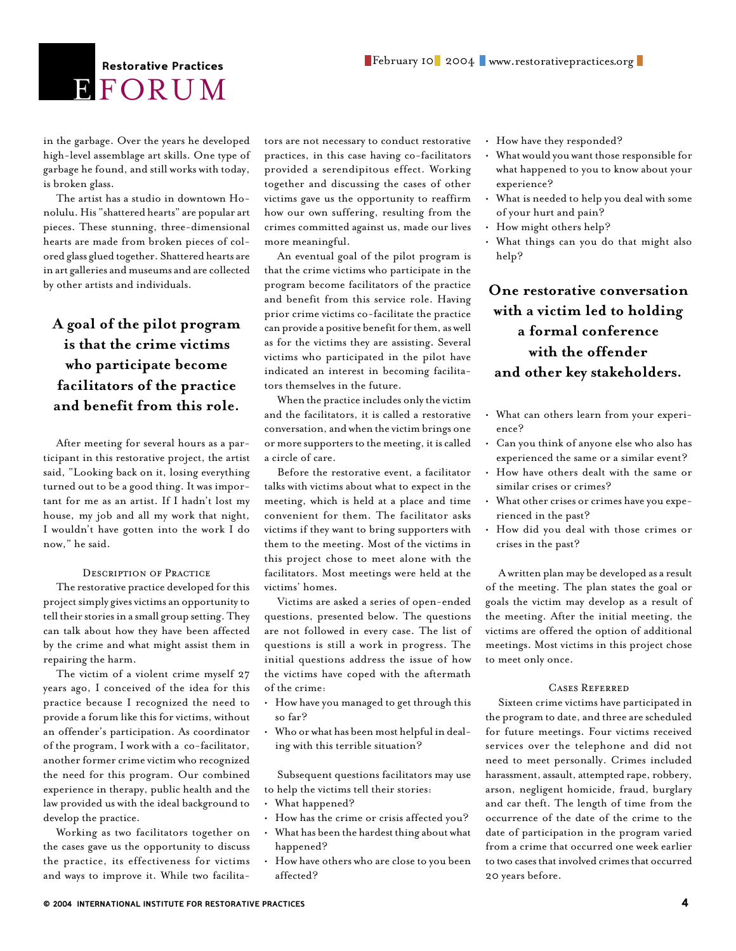# **E** FORUM

in the garbage. Over the years he developed high-level assemblage art skills. One type of garbage he found, and still works with today, is broken glass.

The artist has a studio in downtown Honolulu. His "shattered hearts" are popular art pieces. These stunning, three-dimensional hearts are made from broken pieces of colored glass glued together. Shattered hearts are in art galleries and museums and are collected by other artists and individuals.

# **A goal of the pilot program is that the crime victims who participate become facilitators of the practice and benefit from this role.**

After meeting for several hours as a participant in this restorative project, the artist said, "Looking back on it, losing everything turned out to be a good thing. It was important for me as an artist. If I hadn't lost my house, my job and all my work that night, I wouldn't have gotten into the work I do now," he said.

#### Description of Practice

The restorative practice developed for this project simply gives victims an opportunity to tell their stories in a small group setting. They can talk about how they have been affected by the crime and what might assist them in repairing the harm.

The victim of a violent crime myself 27 years ago, I conceived of the idea for this practice because I recognized the need to provide a forum like this for victims, without an offender's participation. As coordinator of the program, I work with a co-facilitator, another former crime victim who recognized the need for this program. Our combined experience in therapy, public health and the law provided us with the ideal background to develop the practice.

Working as two facilitators together on the cases gave us the opportunity to discuss the practice, its effectiveness for victims and ways to improve it. While two facilita-

tors are not necessary to conduct restorative practices, in this case having co-facilitators provided a serendipitous effect. Working together and discussing the cases of other victims gave us the opportunity to reaffirm how our own suffering, resulting from the crimes committed against us, made our lives more meaningful.

An eventual goal of the pilot program is that the crime victims who participate in the program become facilitators of the practice and benefit from this service role. Having prior crime victims co-facilitate the practice can provide a positive benefit for them, as well as for the victims they are assisting. Several victims who participated in the pilot have indicated an interest in becoming facilitators themselves in the future.

When the practice includes only the victim and the facilitators, it is called a restorative conversation, and when the victim brings one or more supporters to the meeting, it is called a circle of care.

Before the restorative event, a facilitator talks with victims about what to expect in the meeting, which is held at a place and time convenient for them. The facilitator asks victims if they want to bring supporters with them to the meeting. Most of the victims in this project chose to meet alone with the facilitators. Most meetings were held at the victims' homes.

Victims are asked a series of open-ended questions, presented below. The questions are not followed in every case. The list of questions is still a work in progress. The initial questions address the issue of how the victims have coped with the aftermath of the crime:

- How have you managed to get through this so far?
- Who or what has been most helpful in dealing with this terrible situation?

Subsequent questions facilitators may use to help the victims tell their stories:

- What happened?
- How has the crime or crisis affected you?
- What has been the hardest thing about what happened?
- How have others who are close to you been affected?
- How have they responded?
- What would you want those responsible for what happened to you to know about your experience?
- What is needed to help you deal with some of your hurt and pain?
- How might others help?
- What things can you do that might also help?

# **One restorative conversation with a victim led to holding a formal conference with the offender and other key stakeholders.**

- What can others learn from your experience?
- Can you think of anyone else who also has experienced the same or a similar event?
- How have others dealt with the same or similar crises or crimes?
- What other crises or crimes have you experienced in the past?
- How did you deal with those crimes or crises in the past?

A written plan may be developed as a result of the meeting. The plan states the goal or goals the victim may develop as a result of the meeting. After the initial meeting, the victims are offered the option of additional meetings. Most victims in this project chose to meet only once.

### Cases Referred

Sixteen crime victims have participated in the program to date, and three are scheduled for future meetings. Four victims received services over the telephone and did not need to meet personally. Crimes included harassment, assault, attempted rape, robbery, arson, negligent homicide, fraud, burglary and car theft. The length of time from the occurrence of the date of the crime to the date of participation in the program varied from a crime that occurred one week earlier to two cases that involved crimes that occurred 20 years before.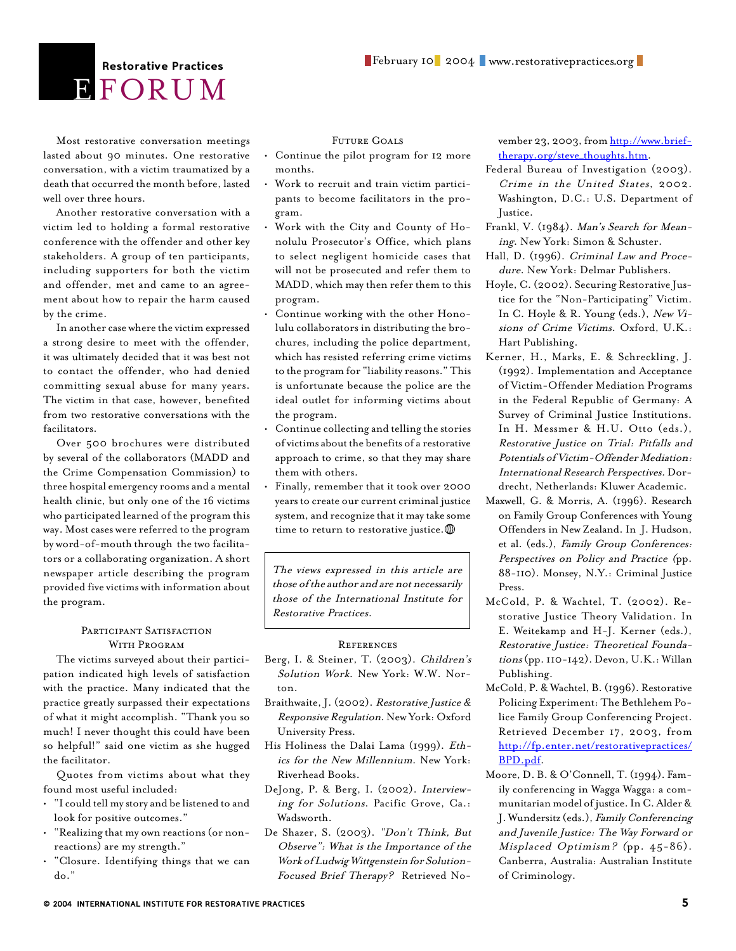# **E** FORUM

Most restorative conversation meetings lasted about 90 minutes. One restorative conversation, with a victim traumatized by a death that occurred the month before, lasted well over three hours.

Another restorative conversation with a victim led to holding a formal restorative conference with the offender and other key stakeholders. A group of ten participants, including supporters for both the victim and offender, met and came to an agreement about how to repair the harm caused by the crime.

In another case where the victim expressed a strong desire to meet with the offender, it was ultimately decided that it was best not to contact the offender, who had denied committing sexual abuse for many years. The victim in that case, however, benefited from two restorative conversations with the facilitators.

Over 500 brochures were distributed by several of the collaborators (MADD and the Crime Compensation Commission) to three hospital emergency rooms and a mental health clinic, but only one of the 16 victims who participated learned of the program this way. Most cases were referred to the program by word-of-mouth through the two facilitators or a collaborating organization. A short newspaper article describing the program provided five victims with information about the program.

### PARTICIPANT SATISFACTION WITH PROGRAM

The victims surveyed about their participation indicated high levels of satisfaction with the practice. Many indicated that the practice greatly surpassed their expectations of what it might accomplish. "Thank you so much! I never thought this could have been so helpful!" said one victim as she hugged the facilitator.

Quotes from victims about what they found most useful included:

- "I could tell my story and be listened to and look for positive outcomes."
- "Realizing that my own reactions (or nonreactions) are my strength."
- "Closure. Identifying things that we can do."

### Future Goals

- Continue the pilot program for 12 more months.
- Work to recruit and train victim participants to become facilitators in the program.
- Work with the City and County of Honolulu Prosecutor's Office, which plans to select negligent homicide cases that will not be prosecuted and refer them to MADD, which may then refer them to this program.
- Continue working with the other Honolulu collaborators in distributing the brochures, including the police department, which has resisted referring crime victims to the program for "liability reasons." This is unfortunate because the police are the ideal outlet for informing victims about the program.
- Continue collecting and telling the stories of victims about the benefits of a restorative approach to crime, so that they may share them with others.
- Finally, remember that it took over 2000 years to create our current criminal justice system, and recognize that it may take some time to return to restorative justice.  $\mathbb D$

The views expressed in this article are those of the author and are not necessarily those of the International Institute for Restorative Practices.

#### **REFERENCES**

- Berg, I. & Steiner, T. (2003). Children's Solution Work. New York: W.W. Norton.
- Braithwaite, J. (2002). Restorative Justice & Responsive Regulation. New York: Oxford University Press.
- His Holiness the Dalai Lama (1999). Ethics for the New Millennium. New York: Riverhead Books.
- DeJong, P. & Berg, I. (2002). Interviewing for Solutions. Pacific Grove, Ca.: Wadsworth.
- De Shazer, S. (2003). "Don't Think, But Observe": What is the Importance of the Work of Ludwig Wittgenstein for Solution-Focused Brief Therapy? Retrieved No-

vember 23, 2003, from [http://www.brief](http://www.brief-therapy.org/steve_thoughts.htm)[therapy.org/steve\\_thoughts.htm.](http://www.brief-therapy.org/steve_thoughts.htm)

- Federal Bureau of Investigation (2003). Crime in the United States, 2002. Washington, D.C.: U.S. Department of Justice.
- Frankl, V. (1984). Man's Search for Meaning. New York: Simon & Schuster.
- Hall, D. (1996). Criminal Law and Procedure. New York: Delmar Publishers.
- Hoyle, C. (2002). Securing Restorative Justice for the "Non-Participating" Victim. In C. Hoyle & R. Young (eds.), New Visions of Crime Victims. Oxford, U.K.: Hart Publishing.
- Kerner, H., Marks, E. & Schreckling, J. (1992). Implementation and Acceptance of Victim-Offender Mediation Programs in the Federal Republic of Germany: A Survey of Criminal Justice Institutions. In H. Messmer & H.U. Otto (eds.), Restorative Justice on Trial: Pitfalls and Potentials of Victim-Offender Mediation: International Research Perspectives. Dordrecht, Netherlands: Kluwer Academic.
- Maxwell, G. & Morris, A. (1996). Research on Family Group Conferences with Young Offenders in New Zealand. In J. Hudson, et al. (eds.), Family Group Conferences: Perspectives on Policy and Practice (pp. 88-110). Monsey, N.Y.: Criminal Justice Press.
- McCold, P. & Wachtel, T. (2002). Restorative Justice Theory Validation. In E. Weitekamp and H-J. Kerner (eds.), Restorative Justice: Theoretical Foundations (pp. 110-142). Devon, U.K.: Willan Publishing.
- McCold, P. & Wachtel, B. (1996). Restorative Policing Experiment: The Bethlehem Police Family Group Conferencing Project. Retrieved December 17, 2003, from [http://](http://fp.enter.net/restorativepractices/BPD.pdf)fp.enter.net/restorativepractices/ BPD.pdf.
- Moore, D. B. & O'Connell, T. (1994). Family conferencing in Wagga Wagga: a communitarian model of justice. In C. Alder & J. Wundersitz (eds.), Family Conferencing and Juvenile Justice: The Way Forward or Misplaced Optimism? (pp. 45-86). Canberra, Australia: Australian Institute of Criminology.